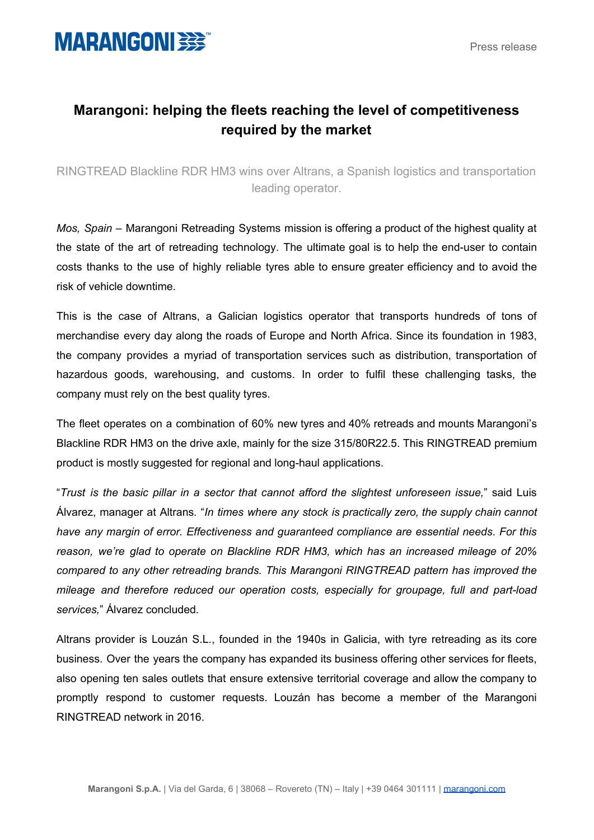

## **Marangoni: helping the fleets reaching the level of competitiveness required by the market**

RINGTREAD Blackline RDR HM3 wins over Altrans, a Spanish logistics and transportation leading operator.

*Mos, Spain –* Marangoni Retreading Systems mission is offering a product of the highest quality at the state of the art of retreading technology. The ultimate goal is to help the end-user to contain costs thanks to the use of highly reliable tyres able to ensure greater efficiency and to avoid the risk of vehicle downtime.

This is the case of Altrans, a Galician logistics operator that transports hundreds of tons of merchandise every day along the roads of Europe and North Africa. Since its foundation in 1983, the company provides a myriad of transportation services such as distribution, transportation of hazardous goods, warehousing, and customs. In order to fulfil these challenging tasks, the company must rely on the best quality tyres.

The fleet operates on a combination of 60% new tyres and 40% retreads and mounts Marangoni's Blackline RDR HM3 on the drive axle, mainly for the size 315/80R22.5. This RINGTREAD premium product is mostly suggested for regional and long-haul applications.

"*Trust is the basic pillar in a sector that cannot afford the slightest unforeseen issue,*" said Luis Álvarez, manager at Altrans*.* "*In times where any stock is practically zero, the supply chain cannot have any margin of error. Effectiveness and guaranteed compliance are essential needs*. *For this reason, we're glad to operate on Blackline RDR HM3, which has an increased mileage of 20% compared to any other retreading brands. This Marangoni RINGTREAD pattern has improved the mileage and therefore reduced our operation costs, especially for groupage, full and part-load services,*" Álvarez concluded*.*

Altrans provider is Louzán S.L., founded in the 1940s in Galicia, with tyre retreading as its core business. Over the years the company has expanded its business offering other services for fleets, also opening ten sales outlets that ensure extensive territorial coverage and allow the company to promptly respond to customer requests. Louzán has become a member of the Marangoni RINGTREAD network in 2016.